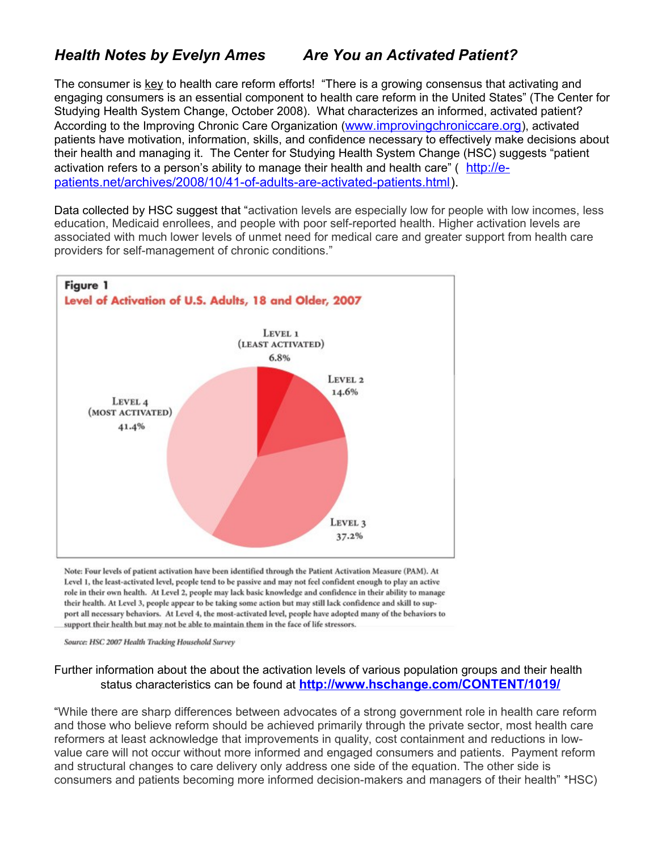## *Health Notes by Evelyn Ames Are You an Activated Patient?*

The consumer is key to health care reform efforts! "There is a growing consensus that activating and engaging consumers is an essential component to health care reform in the United States" (The Center for Studying Health System Change, October 2008). What characterizes an informed, activated patient? According to the Improving Chronic Care Organization ([www.improvingchroniccare.org](http://www.improvingchroniccare.org/)), activated patients have motivation, information, skills, and confidence necessary to effectively make decisions about their health and managing it. The Center for Studying Health System Change (HSC) suggests "patient activation refers to a person's ability to manage their health and health care" ([http://e](http://e-patients.net/archives/2008/10/41-of-adults-are-activated-patients.html)[patients.net/archives/2008/10/41-of-adults-are-activated-patients.html\)](http://e-patients.net/archives/2008/10/41-of-adults-are-activated-patients.html).

Data collected by HSC suggest that "activation levels are especially low for people with low incomes, less education, Medicaid enrollees, and people with poor self-reported health. Higher activation levels are associated with much lower levels of unmet need for medical care and greater support from health care providers for self-management of chronic conditions."



Note: Four levels of patient activation have been identified through the Patient Activation Measure (PAM). At Level 1, the least-activated level, people tend to be passive and may not feel confident enough to play an active role in their own health. At Level 2, people may lack basic knowledge and confidence in their ability to manage their health. At Level 3, people appear to be taking some action but may still lack confidence and skill to support all necessary behaviors. At Level 4, the most-activated level, people have adopted many of the behaviors to support their health but may not be able to maintain them in the face of life stressors.

Source: HSC 2007 Health Tracking Household Survey

## Further information about the about the activation levels of various population groups and their health status characteristics can be found at **<http://www.hschange.com/CONTENT/1019/>**

"While there are sharp differences between advocates of a strong government role in health care reform and those who believe reform should be achieved primarily through the private sector, most health care reformers at least acknowledge that improvements in quality, cost containment and reductions in lowvalue care will not occur without more informed and engaged consumers and patients. Payment reform and structural changes to care delivery only address one side of the equation. The other side is consumers and patients becoming more informed decision-makers and managers of their health" \*HSC)